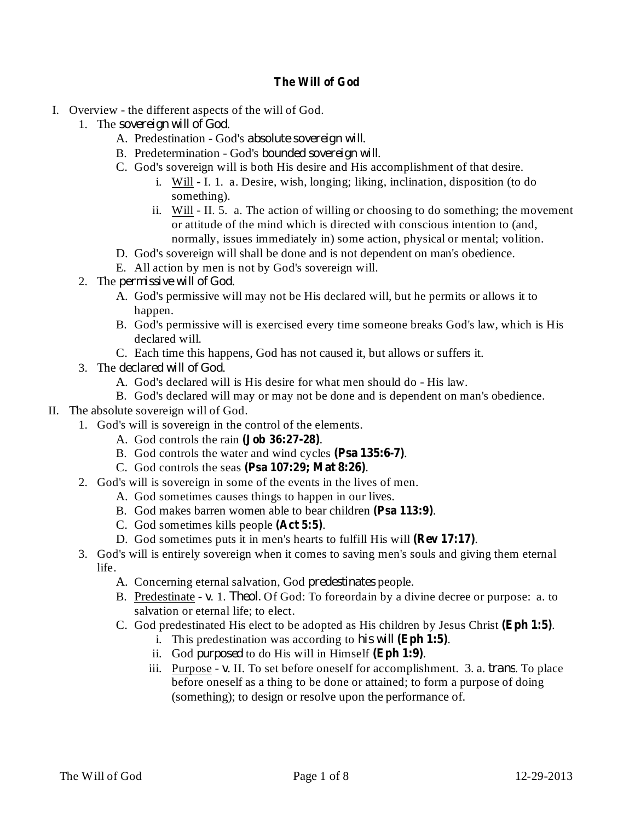## **The Will of God**

- I. Overview the different aspects of the will of God.
	- 1. The . *sovereign will of God*
		- A. Predestination God's absolute sovereign will.
		- B. Predetermination God's *bounded sovereign will*.
		- C. God's sovereign will is both His desire and His accomplishment of that desire.
			- i. Will I. 1. a. Desire, wish, longing; liking, inclination, disposition (to do something).
			- ii. Will II. 5. a. The action of willing or choosing to do something; the movement or attitude of the mind which is directed with conscious intention to (and, normally, issues immediately in) some action, physical or mental; volition.
		- D. God's sovereign will shall be done and is not dependent on man's obedience.
		- E. All action by men is not by God's sovereign will.
	- 2. The *permissive* will of God.
		- A. God's permissive will may not be His declared will, but he permits or allows it to happen.
		- B. God's permissive will is exercised every time someone breaks God's law, which is His declared will.
		- C. Each time this happens, God has not caused it, but allows or suffers it.
	- 3. The *declared* will of God.
		- A. God's declared will is His desire for what men should do His law.
		- B. God's declared will may or may not be done and is dependent on man's obedience.
- II. The absolute sovereign will of God.
	- 1. God's will is sovereign in the control of the elements.
		- A. God controls the rain . **(Job 36:27-28)**
		- B. God controls the water and wind cycles (Psa 135:6-7).
		- C. God controls the seas . **(Psa 107:29; Mat 8:26)**
		- 2. God's will is sovereign in some of the events in the lives of men.
			- A. God sometimes causes things to happen in our lives.
			- B. God makes barren women able to bear children (Psa 113:9).
			- C. God sometimes kills people (Act 5:5).
			- D. God sometimes puts it in men's hearts to fulfill His will (Rev 17:17).
		- 3. God's will is entirely sovereign when it comes to saving men's souls and giving them eternal life.
			- A. Concerning eternal salvation, God *predestinates* people.
			- B. Predestinate v. 1. *Theol*. Of God: To foreordain by a divine decree or purpose: a. to salvation or eternal life; to elect.
			- C. God predestinated His elect to be adopted as His children by Jesus Christ (Eph 1:5).
				- i. This predestination was according to his will (Eph 1:5).
				- ii. God *purposed* to do His will in Himself (Eph 1:9).
				- iii. Purpose v. II. To set before oneself for accomplishment. 3. a. *trans*. To place before oneself as a thing to be done or attained; to form a purpose of doing (something); to design or resolve upon the performance of.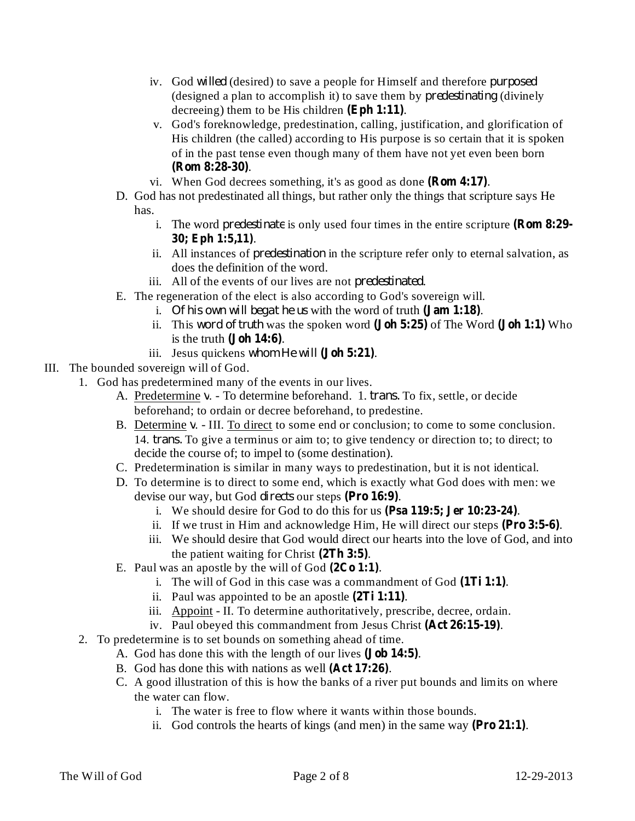- iv. God willed (desired) to save a people for Himself and therefore *purposed* (designed a plan to accomplish it) to save them by *predestinating* (divinely decreeing) them to be His children  $(Eph 1:11)$ .
- v. God's foreknowledge, predestination, calling, justification, and glorification of His children (the called) according to His purpose is so certain that it is spoken of in the past tense even though many of them have not yet even been born . **(Rom 8:28-30)**
- vi. When God decrees something, it's as good as done  $(Rom 4:17)$ .
- D. God has not predestinated all things, but rather only the things that scripture says He has.
	- i. The word *predestinate* is only used four times in the entire scripture (**Rom 8:29-**. **30; Eph 1:5,11)**
	- ii. All instances of *predestination* in the scripture refer only to eternal salvation, as does the definition of the word.
	- iii. All of the events of our lives are not *predestinated*.
- E. The regeneration of the elect is also according to God's sovereign will.
	- i. Of his own will begat he us with the word of truth  $(Jam 1:18)$ .
	- ii. This word of truth was the spoken word  $(John 5:25)$  of The Word  $(John 1:1)$  Who is the truth **.**
	- iii. Jesus quickens whom He will (Joh 5:21).
- III. The bounded sovereign will of God.
	- 1. God has predetermined many of the events in our lives.
		- A. Predetermine v. To determine beforehand. 1. *trans*. To fix, settle, or decide beforehand; to ordain or decree beforehand, to predestine.
		- B. Determine v. III. To direct to some end or conclusion; to come to some conclusion. 14. *trans*. To give a terminus or aim to; to give tendency or direction to; to direct; to decide the course of; to impel to (some destination).
		- C. Predetermination is similar in many ways to predestination, but it is not identical.
		- D. To determine is to direct to some end, which is exactly what God does with men: we devise our way, but God *directs* our steps (Pro 16:9).
			- i. We should desire for God to do this for us (Psa 119:5; Jer 10:23-24).
			- ii. If we trust in Him and acknowledge Him, He will direct our steps  $(Pro 3:5-6)$ .
			- iii. We should desire that God would direct our hearts into the love of God, and into the patient waiting for Christ  $(2Th 3:5)$ .
		- E. Paul was an apostle by the will of God  $(2Co 1:1)$ .
			- i. The will of God in this case was a commandment of God (1Ti 1:1).
			- ii. Paul was appointed to be an apostle  $(2Ti 1:11)$ .
			- iii. Appoint II. To determine authoritatively, prescribe, decree, ordain.
			- iv. Paul obeyed this commandment from Jesus Christ (Act 26:15-19).
	- 2. To predetermine is to set bounds on something ahead of time.
		- A. God has done this with the length of our lives (**Job 14:5**).
		- B. God has done this with nations as well (Act 17:26).
		- C. A good illustration of this is how the banks of a river put bounds and limits on where the water can flow.
			- i. The water is free to flow where it wants within those bounds.
			- ii. God controls the hearts of kings (and men) in the same way  $(Pro 21:1)$ .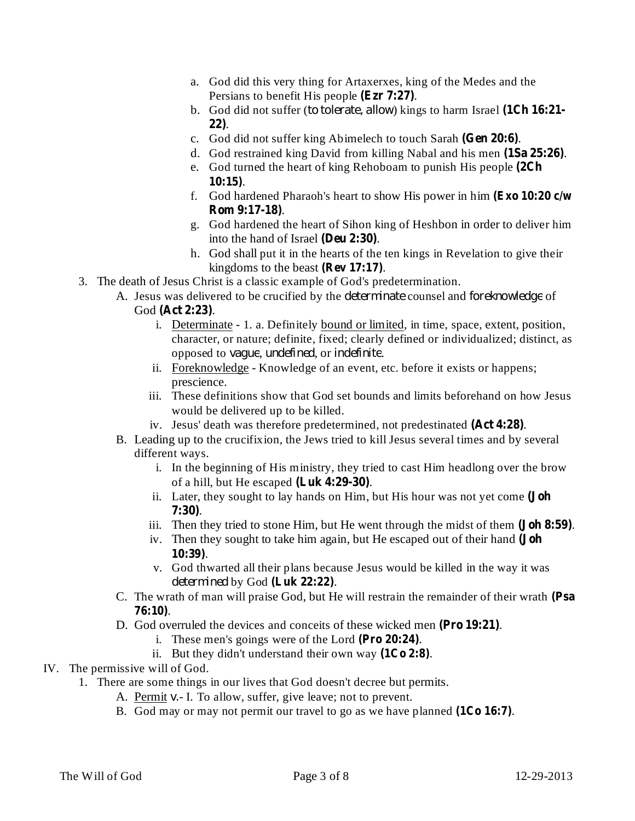- a. God did this very thing for Artaxerxes, king of the Medes and the Persians to benefit His people (Ezr 7:27).
- b. God did not suffer (to tolerate, allow) kings to harm Israel (1Ch 16:21-. **22)**
- c. God did not suffer king Abimelech to touch Sarah (Gen 20:6).
- d. God restrained king David from killing Nabal and his men (1Sa 25:26).
- e. God turned the heart of king Rehoboam to punish His people **(2Ch** . **10:15)**
- f. God hardened Pharaoh's heart to show His power in him **(Exo 10:20 c/w** . **Rom 9:17-18)**
- g. God hardened the heart of Sihon king of Heshbon in order to deliver him into the hand of Israel (Deu 2:30).
- h. God shall put it in the hearts of the ten kings in Revelation to give their kingdoms to the beast  $(\text{Rev 17:17}).$
- 3. The death of Jesus Christ is a classic example of God's predetermination.
	- A. Jesus was delivered to be crucified by the *determinate* counsel and *foreknowledge* of God (Act 2:23).
		- i. Determinate 1. a. Definitely bound or limited, in time, space, extent, position, character, or nature; definite, fixed; clearly defined or individualized; distinct, as opposed to *vague*, *undefined*, or *indefinite*.
		- ii. Foreknowledge Knowledge of an event, etc. before it exists or happens; prescience.
		- iii. These definitions show that God set bounds and limits beforehand on how Jesus would be delivered up to be killed.
		- iv. Jesus' death was therefore predetermined, not predestinated (Act 4:28).
	- B. Leading up to the crucifixion, the Jews tried to kill Jesus several times and by several different ways.
		- i. In the beginning of His ministry, they tried to cast Him headlong over the brow of a hill, but He escaped (Luk 4:29-30).
		- ii. Later, they sought to lay hands on Him, but His hour was not yet come **(Joh** . **7:30)**
		- iii. Then they tried to stone Him, but He went through the midst of them (**Joh 8:59**).
		- iv. Then they sought to take him again, but He escaped out of their hand **(Joh** . **10:39)**
		- v. God thwarted all their plans because Jesus would be killed in the way it was determined by God (Luk 22:22).
	- C. The wrath of man will praise God, but He will restrain the remainder of their wrath **(Psa** . **76:10)**
	- D. God overruled the devices and conceits of these wicked men (Pro 19:21).
		- i. These men's goings were of the Lord  $(Pro 20:24)$ .
		- ii. But they didn't understand their own way  $(1C_0 2:8)$ .
- IV. The permissive will of God.
	- 1. There are some things in our lives that God doesn't decree but permits.
		- A. Permit v. I. To allow, suffer, give leave; not to prevent.
		- B. God may or may not permit our travel to go as we have planned  $(1Co 16:7)$ .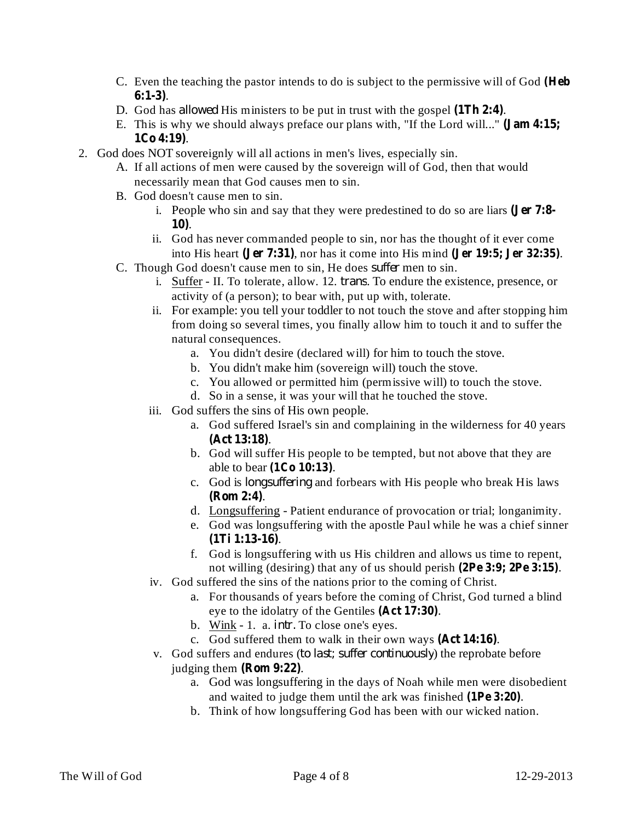- C. Even the teaching the pastor intends to do is subject to the permissive will of God **(Heb** . **6:1-3)**
- D. God has *allowed* His ministers to be put in trust with the gospel  $(1Th 2:4)$ .
- E. This is why we should always preface our plans with, "If the Lord will..." **(Jam 4:15;** . **1Co 4:19)**
- 2. God does NOT sovereignly will all actions in men's lives, especially sin.
	- A. If all actions of men were caused by the sovereign will of God, then that would necessarily mean that God causes men to sin.
	- B. God doesn't cause men to sin.
		- i. People who sin and say that they were predestined to do so are liars **(Jer 7:8-** . **10)**
		- ii. God has never commanded people to sin, nor has the thought of it ever come into His heart (Jer 7:31), nor has it come into His mind (Jer 19:5; Jer 32:35).
	- C. Though God doesn't cause men to sin, He does *suffer* men to sin.
		- i. **Suffer** II. To tolerate, allow. 12. *trans*. To endure the existence, presence, or activity of (a person); to bear with, put up with, tolerate.
		- ii. For example: you tell your toddler to not touch the stove and after stopping him from doing so several times, you finally allow him to touch it and to suffer the natural consequences.
			- a. You didn't desire (declared will) for him to touch the stove.
			- b. You didn't make him (sovereign will) touch the stove.
			- c. You allowed or permitted him (permissive will) to touch the stove.
			- d. So in a sense, it was your will that he touched the stove.
		- iii. God suffers the sins of His own people.
			- a. God suffered Israel's sin and complaining in the wilderness for 40 years . **(Act 13:18)**
			- b. God will suffer His people to be tempted, but not above that they are able to bear (1Co 10:13).
			- c. God is *longsuffering* and forbears with His people who break His laws . **(Rom 2:4)**
			- d. Longsuffering Patient endurance of provocation or trial; longanimity.
			- e. God was longsuffering with the apostle Paul while he was a chief sinner . **(1Ti 1:13-16)**
			- f. God is longsuffering with us His children and allows us time to repent, not willing (desiring) that any of us should perish  $(2Pe 3:9; 2Pe 3:15)$ .
		- iv. God suffered the sins of the nations prior to the coming of Christ.
			- a. For thousands of years before the coming of Christ, God turned a blind eye to the idolatry of the Gentiles (Act 17:30).
			- b. Wink 1. a. *intr*. To close one's eyes.
			- c. God suffered them to walk in their own ways (Act 14:16).
		- *v*. God suffers and endures (*to last; suffer continuously*) the reprobate before judging them  $(Rom 9:22)$ .
			- a. God was longsuffering in the days of Noah while men were disobedient and waited to judge them until the ark was finished (1Pe 3:20).
			- b. Think of how longsuffering God has been with our wicked nation.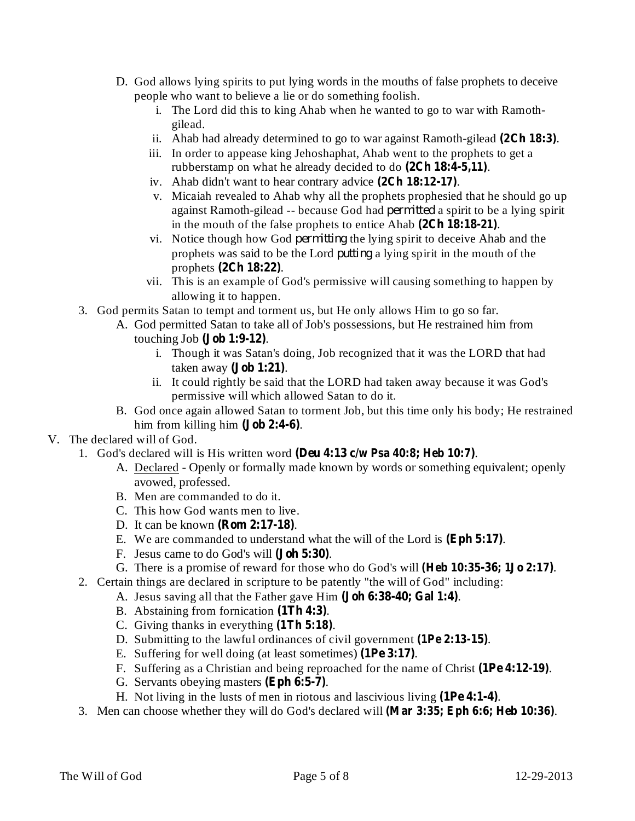- D. God allows lying spirits to put lying words in the mouths of false prophets to deceive people who want to believe a lie or do something foolish.
	- i. The Lord did this to king Ahab when he wanted to go to war with Ramothgilead.
	- ii. Ahab had already determined to go to war against Ramoth-gilead  $(2Ch 18:3)$ .
	- iii. In order to appease king Jehoshaphat, Ahab went to the prophets to get a rubberstamp on what he already decided to do  $(2Ch 18:4-5,11)$ .
	- iv. Ahab didn't want to hear contrary advice  $(2Ch 18:12-17)$ .
	- v. Micaiah revealed to Ahab why all the prophets prophesied that he should go up against Ramoth-gilead -- because God had *permitted* a spirit to be a lying spirit in the mouth of the false prophets to entice Ahab (2Ch 18:18-21).
	- vi. Notice though how God *permitting* the lying spirit to deceive Ahab and the prophets was said to be the Lord *putting* a lying spirit in the mouth of the prophets (2Ch 18:22).
	- vii. This is an example of God's permissive will causing something to happen by allowing it to happen.
- 3. God permits Satan to tempt and torment us, but He only allows Him to go so far.
	- A. God permitted Satan to take all of Job's possessions, but He restrained him from touching Job (**Job** 1:9-12).
		- i. Though it was Satan's doing, Job recognized that it was the LORD that had taken away (**Job** 1:21).
		- ii. It could rightly be said that the LORD had taken away because it was God's permissive will which allowed Satan to do it.
	- B. God once again allowed Satan to torment Job, but this time only his body; He restrained him from killing him  $(**Job 2:4-6**)$ .
- V. The declared will of God.
	- 1. God's declared will is His written word (Deu 4:13  $c/w$  Psa 40:8; Heb 10:7).
		- A. Declared Openly or formally made known by words or something equivalent; openly avowed, professed.
		- B. Men are commanded to do it.
		- C. This how God wants men to live.
		- D. It can be known (**Rom 2:17-18**).
		- E. We are commanded to understand what the will of the Lord is (Eph 5:17).
		- F. Jesus came to do God's will (**Joh 5:30**).
		- G. There is a promise of reward for those who do God's will (Heb 10:35-36; 1Jo 2:17).
	- 2. Certain things are declared in scripture to be patently "the will of God" including:
		- A. Jesus saving all that the Father gave Him (**Joh 6:38-40; Gal 1:4**).
			- B. Abstaining from fornication (1Th 4:3).
			- C. Giving thanks in everything  $(1Th 5:18)$ .
			- D. Submitting to the lawful ordinances of civil government (1Pe 2:13-15).
			- E. Suffering for well doing (at least sometimes) (1Pe 3:17).
			- F. Suffering as a Christian and being reproached for the name of Christ (1Pe 4:12-19).
			- G. Servants obeying masters (Eph 6:5-7).
			- H. Not living in the lusts of men in riotous and lascivious living (1Pe 4:1-4).
	- 3. Men can choose whether they will do God's declared will (Mar 3:35; Eph 6:6; Heb 10:36).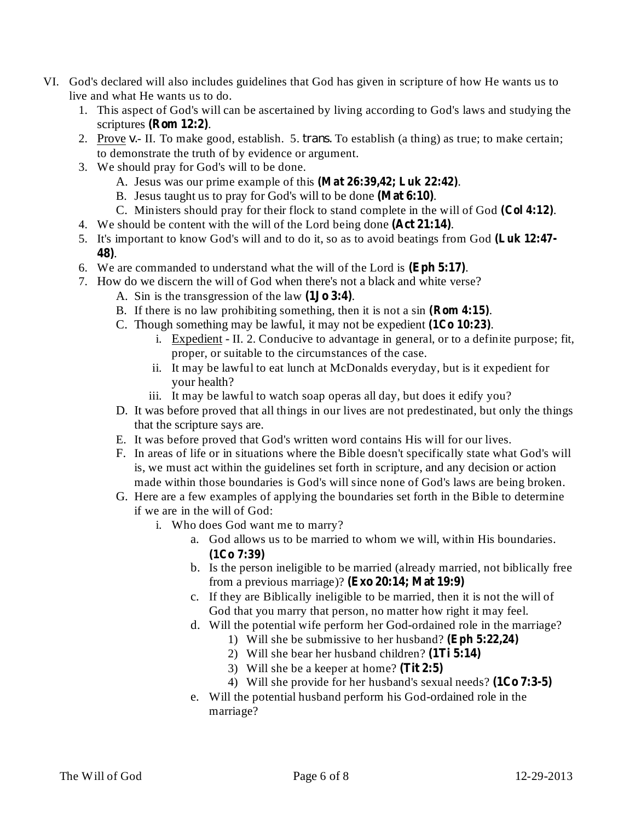- VI. God's declared will also includes guidelines that God has given in scripture of how He wants us to live and what He wants us to do.
	- 1. This aspect of God's will can be ascertained by living according to God's laws and studying the scriptures (**Rom** 12:2).
	- 2. Prove v.- II. To make good, establish. 5. *trans*. To establish (a thing) as true; to make certain; to demonstrate the truth of by evidence or argument.
	- 3. We should pray for God's will to be done.
		- A. Jesus was our prime example of this (Mat 26:39,42; Luk 22:42).
		- B. Jesus taught us to pray for God's will to be done (Mat 6:10).
		- C. Ministers should pray for their flock to stand complete in the will of God (Col 4:12).
	- 4. We should be content with the will of the Lord being done (Act 21:14).
	- 5. It's important to know God's will and to do it, so as to avoid beatings from God **(Luk 12:47-** . **48)**
	- 6. We are commanded to understand what the will of the Lord is  $(Eph 5:17)$ .
	- 7. How do we discern the will of God when there's not a black and white verse?
		- A. Sin is the transgression of the law  $(1J\sigma 3:4)$ .
		- B. If there is no law prohibiting something, then it is not a sin (**Rom 4:15**).
		- C. Though something may be lawful, it may not be expedient  $(1Co 10:23)$ .
			- i. Expedient II. 2. Conducive to advantage in general, or to a definite purpose; fit, proper, or suitable to the circumstances of the case.
			- ii. It may be lawful to eat lunch at McDonalds everyday, but is it expedient for your health?
			- iii. It may be lawful to watch soap operas all day, but does it edify you?
		- D. It was before proved that all things in our lives are not predestinated, but only the things that the scripture says are.
		- E. It was before proved that God's written word contains His will for our lives.
		- F. In areas of life or in situations where the Bible doesn't specifically state what God's will is, we must act within the guidelines set forth in scripture, and any decision or action made within those boundaries is God's will since none of God's laws are being broken.
		- G. Here are a few examples of applying the boundaries set forth in the Bible to determine if we are in the will of God:
			- i. Who does God want me to marry?
				- a. God allows us to be married to whom we will, within His boundaries. **(1Co 7:39)**
				- b. Is the person ineligible to be married (already married, not biblically free from a previous marriage)? **(Exo 20:14; Mat 19:9)**
				- c. If they are Biblically ineligible to be married, then it is not the will of God that you marry that person, no matter how right it may feel.
				- d. Will the potential wife perform her God-ordained role in the marriage?
					- 1) Will she be submissive to her husband? **(Eph 5:22,24)**
					- 2) Will she bear her husband children? **(1Ti 5:14)**
					- 3) Will she be a keeper at home? **(Tit 2:5)**
					- 4) Will she provide for her husband's sexual needs? **(1Co 7:3-5)**
				- e. Will the potential husband perform his God-ordained role in the marriage?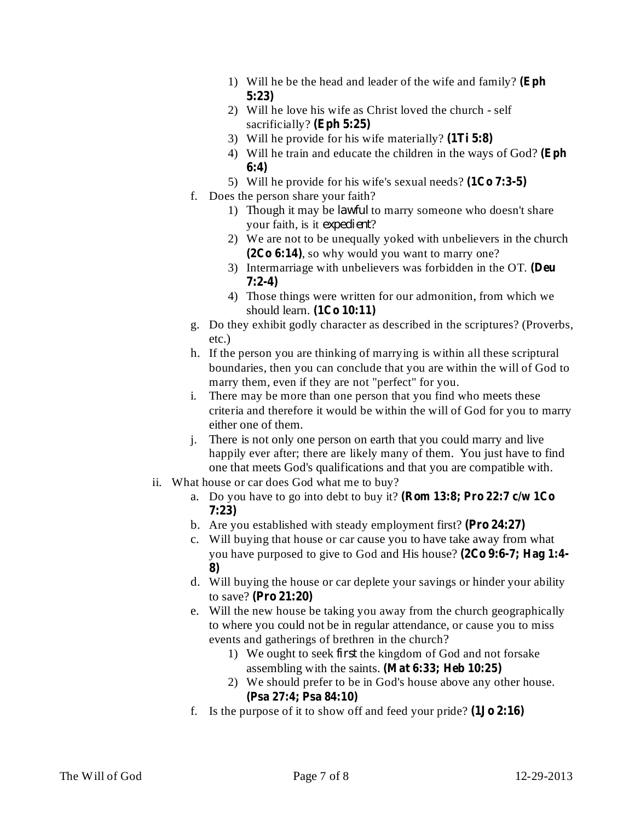- 1) Will he be the head and leader of the wife and family? **(Eph 5:23)**
- 2) Will he love his wife as Christ loved the church self sacrificially? **(Eph 5:25)**
- 3) Will he provide for his wife materially? **(1Ti 5:8)**
- 4) Will he train and educate the children in the ways of God? **(Eph 6:4)**
- 5) Will he provide for his wife's sexual needs? **(1Co 7:3-5)**
- f. Does the person share your faith?
	- 1) Though it may be *lawful* to marry someone who doesn't share your faith, is it *expedient*?
	- 2) We are not to be unequally yoked with unbelievers in the church , so why would you want to marry one? **(2Co 6:14)**
	- 3) Intermarriage with unbelievers was forbidden in the OT. **(Deu 7:2-4)**
	- 4) Those things were written for our admonition, from which we should learn. **(1Co 10:11)**
- g. Do they exhibit godly character as described in the scriptures? (Proverbs, etc.)
- h. If the person you are thinking of marrying is within all these scriptural boundaries, then you can conclude that you are within the will of God to marry them, even if they are not "perfect" for you.
- i. There may be more than one person that you find who meets these criteria and therefore it would be within the will of God for you to marry either one of them.
- j. There is not only one person on earth that you could marry and live happily ever after; there are likely many of them. You just have to find one that meets God's qualifications and that you are compatible with.
- ii. What house or car does God what me to buy?
	- a. Do you have to go into debt to buy it? **(Rom 13:8; Pro 22:7 c/w 1Co 7:23)**
	- b. Are you established with steady employment first? **(Pro 24:27)**
	- c. Will buying that house or car cause you to have take away from what you have purposed to give to God and His house? **(2Co 9:6-7; Hag 1:4- 8)**
	- d. Will buying the house or car deplete your savings or hinder your ability to save? **(Pro 21:20)**
	- e. Will the new house be taking you away from the church geographically to where you could not be in regular attendance, or cause you to miss events and gatherings of brethren in the church?
		- 1) We ought to seek *first* the kingdom of God and not forsake assembling with the saints. **(Mat 6:33; Heb 10:25)**
		- 2) We should prefer to be in God's house above any other house. **(Psa 27:4; Psa 84:10)**
	- f. Is the purpose of it to show off and feed your pride? **(1Jo 2:16)**